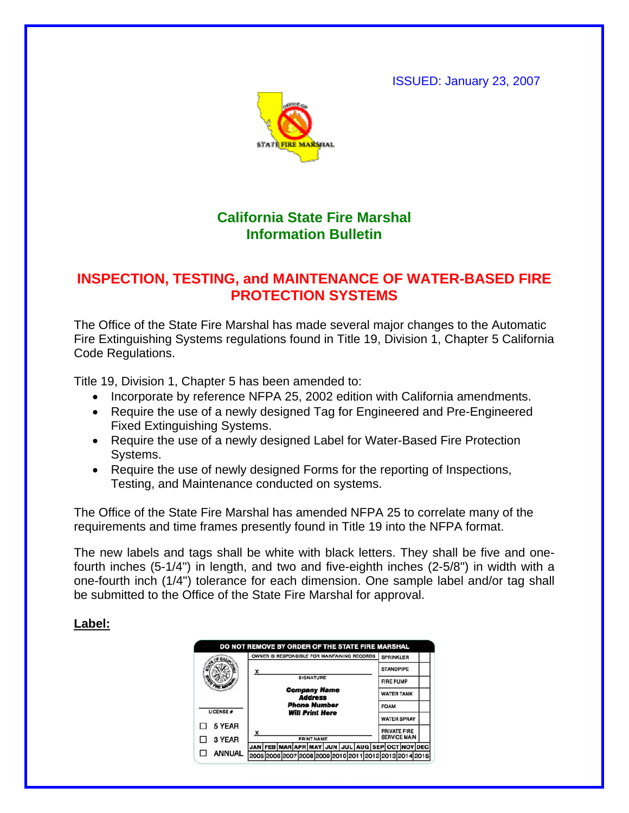ISSUED: January 23, 2007



## **California State Fire Marshal Information Bulletin**

## **INSPECTION, TESTING, and MAINTENANCE OF WATER-BASED FIRE PROTECTION SYSTEMS**

The Office of the State Fire Marshal has made several major changes to the Automatic Fire Extinguishing Systems regulations found in Title 19, Division 1, Chapter 5 California Code Regulations.

Title 19, Division 1, Chapter 5 has been amended to:

- Incorporate by reference NFPA 25, 2002 edition with California amendments.
- Require the use of a newly designed Tag for Engineered and Pre-Engineered Fixed Extinguishing Systems.
- Require the use of a newly designed Label for Water-Based Fire Protection Systems.
- Require the use of newly designed Forms for the reporting of Inspections, Testing, and Maintenance conducted on systems.

The Office of the State Fire Marshal has amended NFPA 25 to correlate many of the requirements and time frames presently found in Title 19 into the NFPA format.

The new labels and tags shall be white with black letters. They shall be five and onefourth inches (5-1/4") in length, and two and five-eighth inches (2-5/8") in width with a one-fourth inch (1/4") tolerance for each dimension. One sample label and/or tag shall be submitted to the Office of the State Fire Marshal for approval.

## **Label:**

| <b>STANDPIPE</b><br>x<br>SIGNATURE<br><b>FIRE PUMP</b><br><b>Company Name</b><br><b>WATER TANK</b><br><b>Address</b><br><b>Phone Number</b><br><b>FOAM</b><br>LICENSE #<br><b>Will Print Here</b><br><b>WATER SPRAY</b><br>5 YEAR<br><b>PRIVATE FIRE</b><br><b>SERVICE MAIN</b><br>3 YEAR<br><b>PRINT NAME</b> | OWNER IS RESPONSIBLE FOR MAINTAINING RECORDS | <b>SPRINKLER</b>                                |
|----------------------------------------------------------------------------------------------------------------------------------------------------------------------------------------------------------------------------------------------------------------------------------------------------------------|----------------------------------------------|-------------------------------------------------|
|                                                                                                                                                                                                                                                                                                                |                                              |                                                 |
|                                                                                                                                                                                                                                                                                                                |                                              |                                                 |
|                                                                                                                                                                                                                                                                                                                |                                              |                                                 |
|                                                                                                                                                                                                                                                                                                                |                                              |                                                 |
|                                                                                                                                                                                                                                                                                                                |                                              |                                                 |
|                                                                                                                                                                                                                                                                                                                |                                              |                                                 |
|                                                                                                                                                                                                                                                                                                                |                                              |                                                 |
|                                                                                                                                                                                                                                                                                                                |                                              | JAN FEB MAR APR MAY JUN JUL AUG SEP OCT NOV DEC |